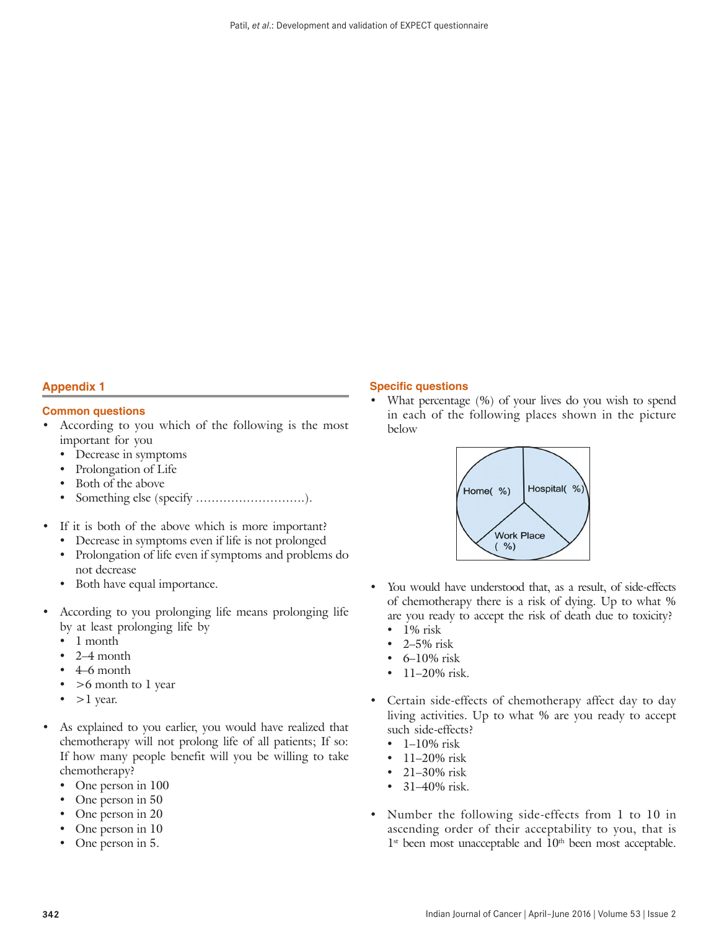## **Appendix 1**

## **Common questions**

- According to you which of the following is the most important for you
	- Decrease in symptoms
	- Prolongation of Life
	- Both of the above
	- • Something else (specify ……………………….).
- If it is both of the above which is more important?
	- Decrease in symptoms even if life is not prolonged
	- • Prolongation of life even if symptoms and problems do not decrease
	- Both have equal importance.
- According to you prolonging life means prolonging life by at least prolonging life by
	- 1 month
	- $2-4$  month
	- 4–6 month
	- • >6 month to 1 year
	- $>1$  year.
- As explained to you earlier, you would have realized that chemotherapy will not prolong life of all patients; If so: If how many people benefit will you be willing to take chemotherapy?
	- One person in 100
	- One person in 50
	- One person in 20
	- One person in 10
	- One person in 5.

## **Specific questions**

What percentage (%) of your lives do you wish to spend in each of the following places shown in the picture below



- You would have understood that, as a result, of side-effects of chemotherapy there is a risk of dying. Up to what % are you ready to accept the risk of death due to toxicity?
	- 1% risk
	- $2-5%$  risk
	- 6-10% risk
	- 11–20% risk.
- Certain side-effects of chemotherapy affect day to day living activities. Up to what % are you ready to accept such side-effects?
	- $\cdot$  1–10% risk
	- 11–20% risk
	- 21–30% risk
	- 31–40% risk.
- Number the following side-effects from 1 to 10 in ascending order of their acceptability to you, that is  $1<sup>st</sup>$  been most unacceptable and  $10<sup>th</sup>$  been most acceptable.